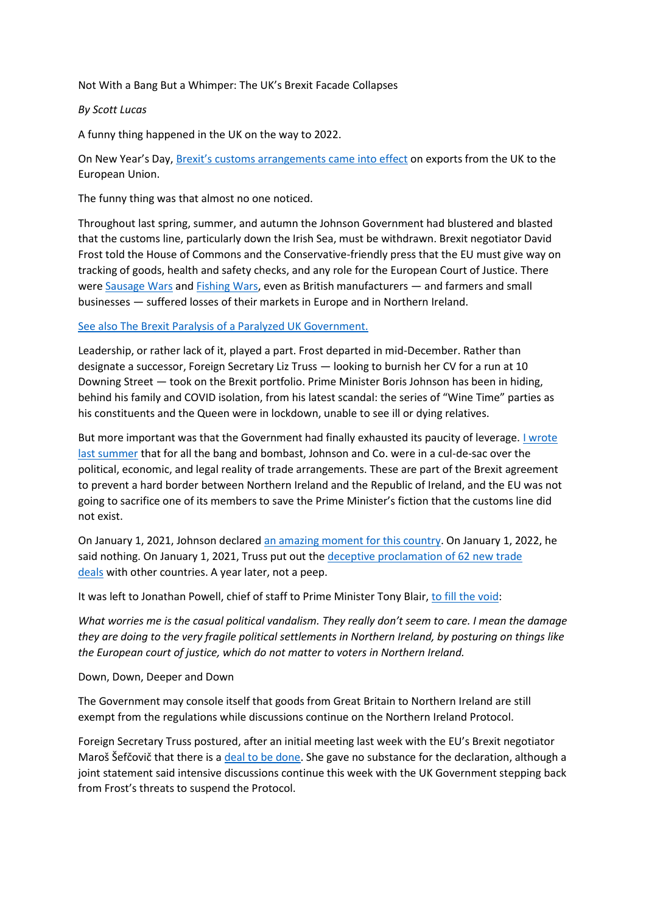## Not With a Bang But a Whimper: The UK's Brexit Facade Collapses

## *By Scott Lucas*

A funny thing happened in the UK on the way to 2022.

On New Year's Day, [Brexit's customs arrangements came into effect](https://www.gov.uk/government/news/less-than-a-month-until-full-customs-controls-are-introduced) on exports from the UK to the European Union.

The funny thing was that almost no one noticed.

Throughout last spring, summer, and autumn the Johnson Government had blustered and blasted that the customs line, particularly down the Irish Sea, must be withdrawn. Brexit negotiator David Frost told the House of Commons and the Conservative-friendly press that the EU must give way on tracking of goods, health and safety checks, and any role for the European Court of Justice. There were [Sausage Wars](https://eaworldview.com/2021/06/johnson-northern-ireland-nose-global-face/) and [Fishing Wars,](https://eaworldview.com/2021/05/brexit-jingo-war-france-diversion/) even as British manufacturers — and farmers and small businesses — suffered losses of their markets in Europe and in Northern Ireland.

## [See also The Brexit Paralysis of a Paralyzed UK Government.](https://eaworldview.com/2021/12/brexit-paralysis-paralysed-uk-government/)

Leadership, or rather lack of it, played a part. Frost departed in mid-December. Rather than designate a successor, Foreign Secretary Liz Truss — looking to burnish her CV for a run at 10 Downing Street — took on the Brexit portfolio. Prime Minister Boris Johnson has been in hiding, behind his family and COVID isolation, from his latest scandal: the series of "Wine Time" parties as his constituents and the Queen were in lockdown, unable to see ill or dying relatives.

But more important was that the Government had finally exhausted its paucity of leverage. [I wrote](https://eaworldview.com/2021/06/johnson-northern-ireland-nose-global-face/)  [last summer](https://eaworldview.com/2021/06/johnson-northern-ireland-nose-global-face/) that for all the bang and bombast, Johnson and Co. were in a cul-de-sac over the political, economic, and legal reality of trade arrangements. These are part of the Brexit agreement to prevent a hard border between Northern Ireland and the Republic of Ireland, and the EU was not going to sacrifice one of its members to save the Prime Minister's fiction that the customs line did not exist.

On January 1, 2021, Johnson declared [an amazing moment](https://www.ft.com/content/3f5db09e-78b6-4563-8e34-2da3a51b4f64) for this country. On January 1, 2022, he said nothing. On January 1, 2021, Truss put out the [deceptive proclamation of 62 new trade](https://news.sky.com/story/brexit-transition-ends-as-uk-eu-trade-deal-takes-effect-12176531)  [deals](https://news.sky.com/story/brexit-transition-ends-as-uk-eu-trade-deal-takes-effect-12176531) with other countries. A year later, not a peep.

It was left to Jonathan Powell, chief of staff to Prime Minister Tony Blair, [to fill the void:](https://www.theguardian.com/uk-news/2022/jan/02/ni-peace-architect-accuses-boris-johnson-of-casual-political-vandalism)

*What worries me is the casual political vandalism. They really don't seem to care. I mean the damage they are doing to the very fragile political settlements in Northern Ireland, by posturing on things like the European court of justice, which do not matter to voters in Northern Ireland.*

## Down, Down, Deeper and Down

The Government may console itself that goods from Great Britain to Northern Ireland are still exempt from the regulations while discussions continue on the Northern Ireland Protocol.

Foreign Secretary Truss postured, after an initial meeting last week with the EU's Brexit negotiator Maroš Šefčovič that there is a [deal to be done.](https://www.theguardian.com/uk-news/2022/jan/14/brexit-deal-northern-ireland-liz-truss-talks-eu) She gave no substance for the declaration, although a joint statement said intensive discussions continue this week with the UK Government stepping back from Frost's threats to suspend the Protocol.